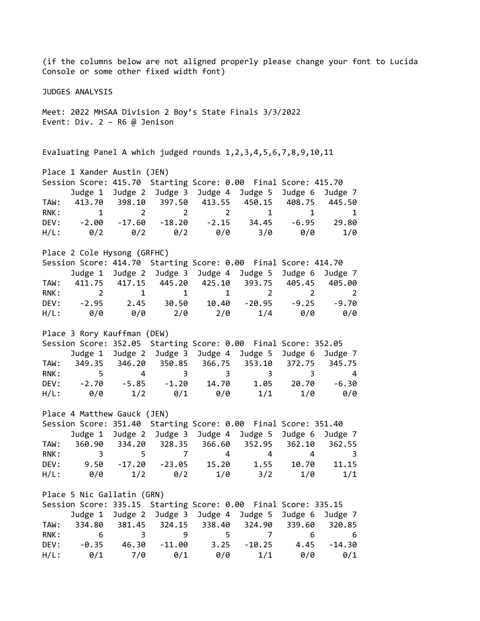(if the columns below are not aligned properly please change your font to Lucida Console or some other fixed width font) JUDGES ANALYSIS Meet: 2022 MHSAA Division 2 Boy's State Finals 3/3/2022 Event: Div. 2 – R6 @ Jenison Evaluating Panel A which judged rounds 1,2,3,4,5,6,7,8,9,10,11 Place 1 Xander Austin (JEN) Session Score: 415.70 Starting Score: 0.00 Final Score: 415.70 Judge 1 Judge 2 Judge 3 Judge 4 Judge 5 Judge 6 Judge 7 TAW: 413.70 398.10 397.50 413.55 450.15 408.75 445.50 RNK: 1 2 2 2 1 1 1 DEV: -2.00 -17.60 -18.20 -2.15 34.45 -6.95 29.80 H/L: 0/2 0/2 0/2 0/0 3/0 0/0 1/0 Place 2 Cole Hysong (GRFHC) Session Score: 414.70 Starting Score: 0.00 Final Score: 414.70 Judge 1 Judge 2 Judge 3 Judge 4 Judge 5 Judge 6 Judge 7 TAW: 411.75 417.15 445.20 425.10 393.75 405.45 405.00 RNK: 2 1 1 1 2 2 2 DEV: -2.95 2.45 30.50 10.40 -20.95 -9.25 -9.70 H/L: 0/0 0/0 2/0 2/0 1/4 0/0 0/0 Place 3 Rory Kauffman (DEW) Session Score: 352.05 Starting Score: 0.00 Final Score: 352.05 Judge 1 Judge 2 Judge 3 Judge 4 Judge 5 Judge 6 Judge 7 TAW: 349.35 346.20 350.85 366.75 353.10 372.75 345.75 RNK: 5 4 3 3 3 3 4 DEV: -2.70 -5.85 -1.20 14.70 1.05 20.70 -6.30 H/L: 0/0 1/2 0/1 0/0 1/1 1/0 0/0 Place 4 Matthew Gauck (JEN) Session Score: 351.40 Starting Score: 0.00 Final Score: 351.40 Judge 1 Judge 2 Judge 3 Judge 4 Judge 5 Judge 6 Judge 7 TAW: 360.90 334.20 328.35 366.60 352.95 362.10 362.55 RNK: 3 5 7 4 4 4 3 DEV: 9.50 -17.20 -23.05 15.20 1.55 10.70 11.15 H/L: 0/0 1/2 0/2 1/0 3/2 1/0 1/1 Place 5 Nic Gallatin (GRN) Session Score: 335.15 Starting Score: 0.00 Final Score: 335.15 Judge 1 Judge 2 Judge 3 Judge 4 Judge 5 Judge 6 Judge 7 TAW: 334.80 381.45 324.15 338.40 324.90 339.60 320.85 RNK: 6 3 9 5 7 6 6 DEV: -0.35 46.30 -11.00 3.25 -10.25 4.45 -14.30 H/L: 0/1 7/0 0/1 0/0 1/1 0/0 0/1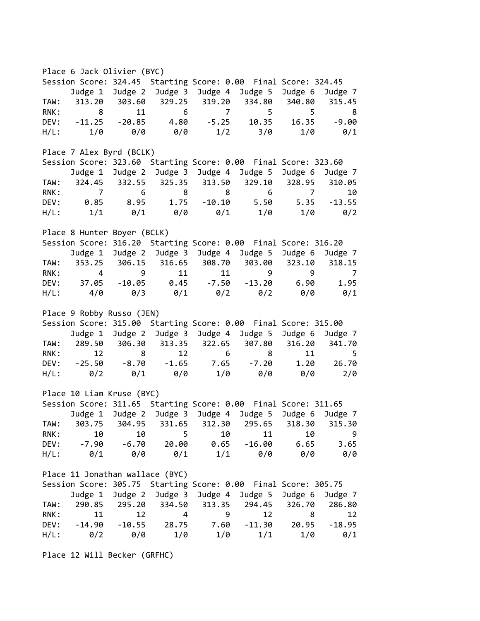Place 6 Jack Olivier (BYC) Session Score: 324.45 Starting Score: 0.00 Final Score: 324.45 Judge 1 Judge 2 Judge 3 Judge 4 Judge 5 Judge 6 Judge 7 TAW: 313.20 303.60 329.25 319.20 334.80 340.80 315.45 RNK: 8 11 6 7 5 5 8 DEV: -11.25 -20.85 4.80 -5.25 10.35 16.35 -9.00 H/L: 1/0 0/0 0/0 1/2 3/0 1/0 0/1 Place 7 Alex Byrd (BCLK) Session Score: 323.60 Starting Score: 0.00 Final Score: 323.60 Judge 1 Judge 2 Judge 3 Judge 4 Judge 5 Judge 6 Judge 7 TAW: 324.45 332.55 325.35 313.50 329.10 328.95 310.05 RNK: 7 6 8 8 6 7 10 DEV: 0.85 8.95 1.75 -10.10 5.50 5.35 -13.55 H/L: 1/1 0/1 0/0 0/1 1/0 1/0 0/2 Place 8 Hunter Boyer (BCLK) Session Score: 316.20 Starting Score: 0.00 Final Score: 316.20 Judge 1 Judge 2 Judge 3 Judge 4 Judge 5 Judge 6 Judge 7 TAW: 353.25 306.15 316.65 308.70 303.00 323.10 318.15 RNK: 4 9 11 11 9 9 7 DEV: 37.05 -10.05 0.45 -7.50 -13.20 6.90 1.95 H/L: 4/0 0/3 0/1 0/2 0/2 0/0 0/1 Place 9 Robby Russo (JEN) Session Score: 315.00 Starting Score: 0.00 Final Score: 315.00 Judge 1 Judge 2 Judge 3 Judge 4 Judge 5 Judge 6 Judge 7 TAW: 289.50 306.30 313.35 322.65 307.80 316.20 341.70 RNK: 12 8 12 6 8 11 5 DEV: -25.50 -8.70 -1.65 7.65 -7.20 1.20 26.70 H/L: 0/2 0/1 0/0 1/0 0/0 0/0 2/0 Place 10 Liam Kruse (BYC) Session Score: 311.65 Starting Score: 0.00 Final Score: 311.65 Judge 1 Judge 2 Judge 3 Judge 4 Judge 5 Judge 6 Judge 7 TAW: 303.75 304.95 331.65 312.30 295.65 318.30 315.30 RNK: 10 10 5 10 11 10 9 DEV: -7.90 -6.70 20.00 0.65 -16.00 6.65 3.65 H/L: 0/1 0/0 0/1 1/1 0/0 0/0 0/0 Place 11 Jonathan wallace (BYC) Session Score: 305.75 Starting Score: 0.00 Final Score: 305.75 Judge 1 Judge 2 Judge 3 Judge 4 Judge 5 Judge 6 Judge 7 TAW: 290.85 295.20 334.50 313.35 294.45 326.70 286.80 RNK: 11 12 4 9 12 8 12 DEV: -14.90 -10.55 28.75 7.60 -11.30 20.95 -18.95 H/L: 0/2 0/0 1/0 1/0 1/1 1/0 0/1

Place 12 Will Becker (GRFHC)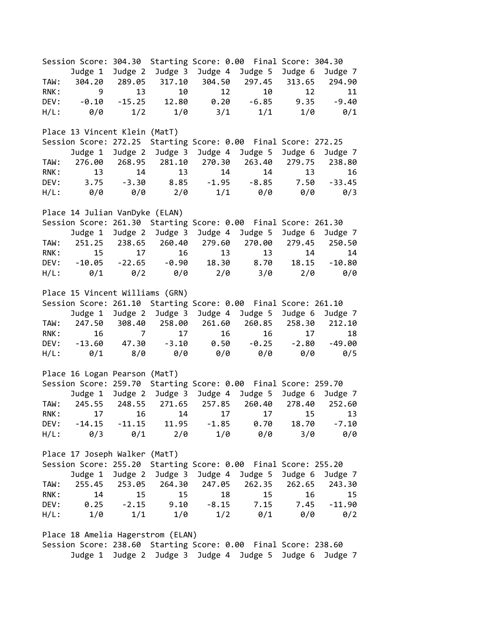Session Score: 304.30 Starting Score: 0.00 Final Score: 304.30 Judge 1 Judge 2 Judge 3 Judge 4 Judge 5 Judge 6 Judge 7 TAW: 304.20 289.05 317.10 304.50 297.45 313.65 294.90 RNK: 9 13 10 12 10 12 11 DEV: -0.10 -15.25 12.80 0.20 -6.85 9.35 -9.40 H/L: 0/0 1/2 1/0 3/1 1/1 1/0 0/1 Place 13 Vincent Klein (MatT) Session Score: 272.25 Starting Score: 0.00 Final Score: 272.25 Judge 1 Judge 2 Judge 3 Judge 4 Judge 5 Judge 6 Judge 7 TAW: 276.00 268.95 281.10 270.30 263.40 279.75 238.80 RNK: 13 14 13 14 14 13 16 DEV: 3.75 -3.30 8.85 -1.95 -8.85 7.50 -33.45 H/L: 0/0 0/0 2/0 1/1 0/0 0/0 0/3 Place 14 Julian VanDyke (ELAN) Session Score: 261.30 Starting Score: 0.00 Final Score: 261.30 Judge 1 Judge 2 Judge 3 Judge 4 Judge 5 Judge 6 Judge 7 TAW: 251.25 238.65 260.40 279.60 270.00 279.45 250.50 RNK: 15 17 16 13 13 14 14 DEV: -10.05 -22.65 -0.90 18.30 8.70 18.15 -10.80 H/L: 0/1 0/2 0/0 2/0 3/0 2/0 0/0 Place 15 Vincent Williams (GRN) Session Score: 261.10 Starting Score: 0.00 Final Score: 261.10 Judge 1 Judge 2 Judge 3 Judge 4 Judge 5 Judge 6 Judge 7 TAW: 247.50 308.40 258.00 261.60 260.85 258.30 212.10 RNK: 16 7 17 16 16 17 18 DEV: -13.60 47.30 -3.10 0.50 -0.25 -2.80 -49.00 H/L: 0/1 8/0 0/0 0/0 0/0 0/0 0/5 Place 16 Logan Pearson (MatT) Session Score: 259.70 Starting Score: 0.00 Final Score: 259.70 Judge 1 Judge 2 Judge 3 Judge 4 Judge 5 Judge 6 Judge 7 TAW: 245.55 248.55 271.65 257.85 260.40 278.40 252.60 RNK: 17 16 14 17 17 15 13 DEV: -14.15 -11.15 11.95 -1.85 0.70 18.70 -7.10 H/L: 0/3 0/1 2/0 1/0 0/0 3/0 0/0 Place 17 Joseph Walker (MatT) Session Score: 255.20 Starting Score: 0.00 Final Score: 255.20 Judge 1 Judge 2 Judge 3 Judge 4 Judge 5 Judge 6 Judge 7 TAW: 255.45 253.05 264.30 247.05 262.35 262.65 243.30 RNK: 14 15 15 18 15 16 15 DEV: 0.25 -2.15 9.10 -8.15 7.15 7.45 -11.90 H/L: 1/0 1/1 1/0 1/2 0/1 0/0 0/2 Place 18 Amelia Hagerstrom (ELAN) Session Score: 238.60 Starting Score: 0.00 Final Score: 238.60

Judge 1 Judge 2 Judge 3 Judge 4 Judge 5 Judge 6 Judge 7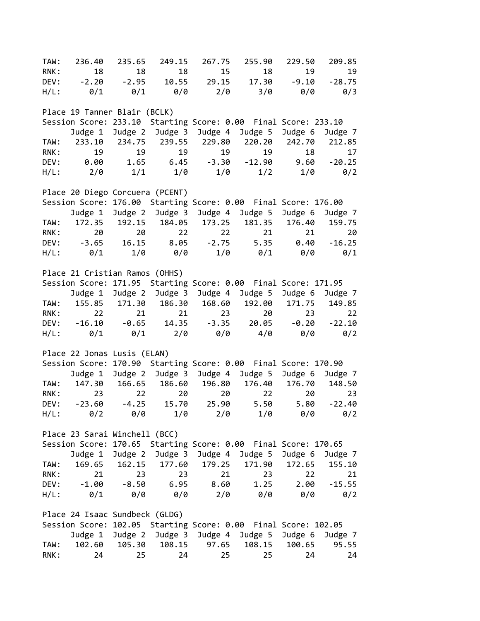TAW: 236.40 235.65 249.15 267.75 255.90 229.50 209.85 RNK: 18 18 18 15 18 19 19 DEV: -2.20 -2.95 10.55 29.15 17.30 -9.10 -28.75 H/L: 0/1 0/1 0/0 2/0 3/0 0/0 0/3 Place 19 Tanner Blair (BCLK) Session Score: 233.10 Starting Score: 0.00 Final Score: 233.10 Judge 1 Judge 2 Judge 3 Judge 4 Judge 5 Judge 6 Judge 7 TAW: 233.10 234.75 239.55 229.80 220.20 242.70 212.85 RNK: 19 19 19 19 19 18 17 DEV: 0.00 1.65 6.45 -3.30 -12.90 9.60 -20.25 H/L: 2/0 1/1 1/0 1/0 1/2 1/0 0/2 Place 20 Diego Corcuera (PCENT) Session Score: 176.00 Starting Score: 0.00 Final Score: 176.00 Judge 1 Judge 2 Judge 3 Judge 4 Judge 5 Judge 6 Judge 7 TAW: 172.35 192.15 184.05 173.25 181.35 176.40 159.75 RNK: 20 20 22 22 21 21 20 DEV: -3.65 16.15 8.05 -2.75 5.35 0.40 -16.25 H/L: 0/1 1/0 0/0 1/0 0/1 0/0 0/1 Place 21 Cristian Ramos (OHHS) Session Score: 171.95 Starting Score: 0.00 Final Score: 171.95 Judge 1 Judge 2 Judge 3 Judge 4 Judge 5 Judge 6 Judge 7 TAW: 155.85 171.30 186.30 168.60 192.00 171.75 149.85 RNK: 22 21 21 23 20 23 22 DEV: -16.10 -0.65 14.35 -3.35 20.05 -0.20 -22.10 H/L: 0/1 0/1 2/0 0/0 4/0 0/0 0/2 Place 22 Jonas Lusis (ELAN) Session Score: 170.90 Starting Score: 0.00 Final Score: 170.90 Judge 1 Judge 2 Judge 3 Judge 4 Judge 5 Judge 6 Judge 7 TAW: 147.30 166.65 186.60 196.80 176.40 176.70 148.50 RNK: 23 22 20 20 22 20 23 DEV: -23.60 -4.25 15.70 25.90 5.50 5.80 -22.40 H/L: 0/2 0/0 1/0 2/0 1/0 0/0 0/2 Place 23 Sarai Winchell (BCC) Session Score: 170.65 Starting Score: 0.00 Final Score: 170.65 Judge 1 Judge 2 Judge 3 Judge 4 Judge 5 Judge 6 Judge 7 TAW: 169.65 162.15 177.60 179.25 171.90 172.65 155.10 RNK: 21 23 23 21 23 22 21 DEV: -1.00 -8.50 6.95 8.60 1.25 2.00 -15.55 H/L: 0/1 0/0 0/0 2/0 0/0 0/0 0/2 Place 24 Isaac Sundbeck (GLDG) Session Score: 102.05 Starting Score: 0.00 Final Score: 102.05 Judge 1 Judge 2 Judge 3 Judge 4 Judge 5 Judge 6 Judge 7 TAW: 102.60 105.30 108.15 97.65 108.15 100.65 95.55 RNK: 24 25 24 25 25 24 24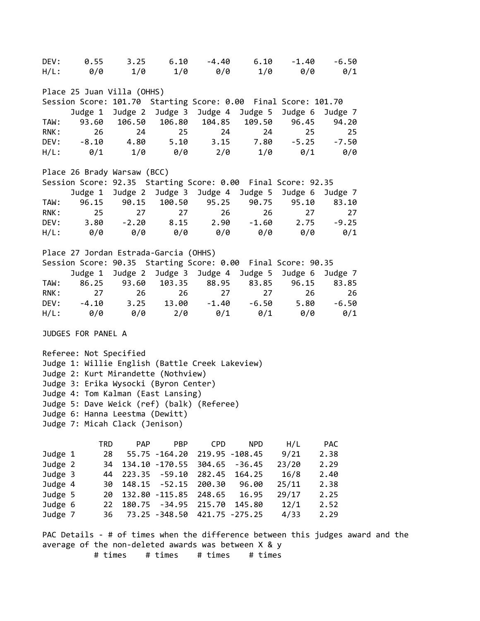DEV: 0.55 3.25 6.10 -4.40 6.10 -1.40 -6.50 H/L: 0/0 1/0 1/0 0/0 1/0 0/0 0/1 Place 25 Juan Villa (OHHS) Session Score: 101.70 Starting Score: 0.00 Final Score: 101.70 Judge 1 Judge 2 Judge 3 Judge 4 Judge 5 Judge 6 Judge 7 TAW: 93.60 106.50 106.80 104.85 109.50 96.45 94.20 RNK: 26 24 25 24 24 25 25 DEV: -8.10 4.80 5.10 3.15 7.80 -5.25 -7.50 H/L: 0/1 1/0 0/0 2/0 1/0 0/1 0/0 Place 26 Brady Warsaw (BCC) Session Score: 92.35 Starting Score: 0.00 Final Score: 92.35 Judge 1 Judge 2 Judge 3 Judge 4 Judge 5 Judge 6 Judge 7 TAW: 96.15 90.15 100.50 95.25 90.75 95.10 83.10 RNK: 25 27 27 26 26 27 27 DEV: 3.80 -2.20 8.15 2.90 -1.60 2.75 -9.25 H/L: 0/0 0/0 0/0 0/0 0/0 0/0 0/1 Place 27 Jordan Estrada-Garcia (OHHS) Session Score: 90.35 Starting Score: 0.00 Final Score: 90.35 Judge 1 Judge 2 Judge 3 Judge 4 Judge 5 Judge 6 Judge 7 TAW: 86.25 93.60 103.35 88.95 83.85 96.15 83.85 RNK: 27 26 26 27 27 26 26 DEV: -4.10 3.25 13.00 -1.40 -6.50 5.80 -6.50 H/L: 0/0 0/0 2/0 0/1 0/1 0/0 0/1 JUDGES FOR PANEL A Referee: Not Specified Judge 1: Willie English (Battle Creek Lakeview) Judge 2: Kurt Mirandette (Nothview) Judge 3: Erika Wysocki (Byron Center) Judge 4: Tom Kalman (East Lansing) Judge 5: Dave Weick (ref) (balk) (Referee) Judge 6: Hanna Leestma (Dewitt) Judge 7: Micah Clack (Jenison) TRD PAP PBP CPD NPD H/L PAC Judge 1 28 55.75 -164.20 219.95 -108.45 9/21 2.38 Judge 2 34 134.10 -170.55 304.65 -36.45 23/20 2.29 Judge 3 44 223.35 -59.10 282.45 164.25 16/8 2.40 Judge 4 30 148.15 -52.15 200.30 96.00 25/11 2.38 Judge 5 20 132.80 -115.85 248.65 16.95 29/17 2.25 Judge 6 22 180.75 -34.95 215.70 145.80 12/1 2.52 Judge 7 36 73.25 -348.50 421.75 -275.25 4/33 2.29 PAC Details - # of times when the difference between this judges award and the average of the non-deleted awards was between X & y

# times # times # times # times